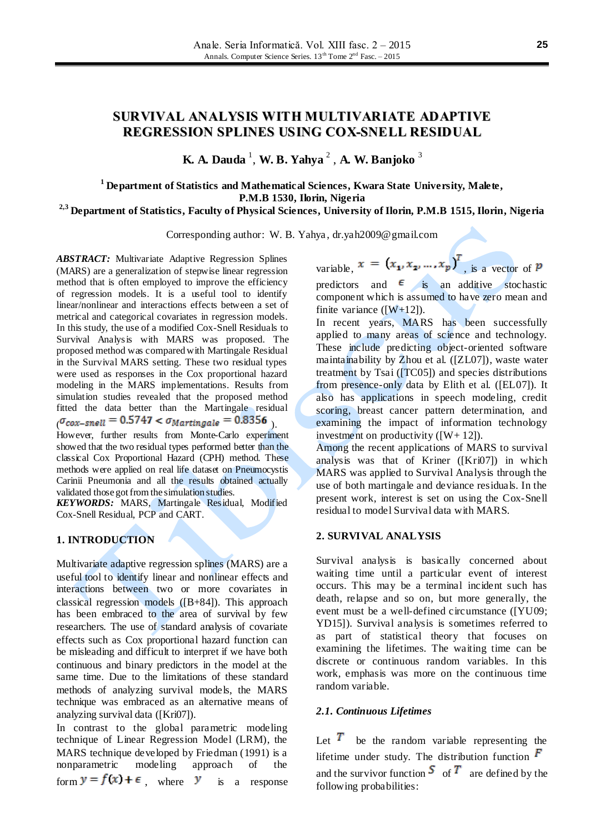# **SURVIVAL ANALYSIS WITH MULTIVARIATE ADAPTIVE REGRESSION SPLINES USING COX-SNELL RESIDUAL**

**K. A. Dauda** <sup>1</sup> , **W. B. Yahya** <sup>2</sup> , **A. W. Banjoko** <sup>3</sup>

**<sup>1</sup> Department of Statistics and Mathematical Sciences, Kwara State University, Malete, P.M.B 1530, Ilorin, Nigeria**

# **2,3 Department of Statistics, Faculty of Physical Sciences, University of Ilorin, P.M.B 1515, Ilorin, Nigeria**

Corresponding author: W. B. Yahya , [dr.yah2009@gmail.com](mailto:dr.yah2009@gmail.com)

*ABSTRACT:* Multivariate Adaptive Regression Splines (MARS) are a generalization of stepwise linear regression method that is often employed to improve the efficiency of regression models. It is a useful tool to identify linear/nonlinear and interactions effects between a set of metrical and categorical covariates in regression models. In this study, the use of a modified Cox-Snell Residuals to Survival Analysis with MARS was proposed. The proposed method was compared with Martingale Residual in the Survival MARS setting. These two residual types were used as responses in the Cox proportional hazard modeling in the MARS implementations. Results from simulation studies revealed that the proposed method fitted the data better than the Martingale residual  $\sigma_{\text{cox-snell}} = 0.5747 < \sigma_{\text{Martingale}} = 0.8356$ However, further results from Monte-Carlo experiment

showed that the two residual types performed better than the classical Cox Proportional Hazard (CPH) method. These methods were applied on real life dataset on Pneumocystis Carinii Pneumonia and all the results obtained actually validated those got from the simulation studies.

*KEYWORDS:* MARS, Martingale Residual, Modified Cox-Snell Residual, PCP and CART.

## **1. INTRODUCTION**

Multivariate adaptive regression splines (MARS) are a useful tool to identify linear and nonlinear effects and interactions between two or more covariates in classical regression models ([B+84]). This approach has been embraced to the area of survival by few researchers. The use of standard analysis of covariate effects such as Cox proportional hazard function can be misleading and difficult to interpret if we have both continuous and binary predictors in the model at the same time. Due to the limitations of these standard methods of analyzing survival models, the MARS technique was embraced as an alternative means of analyzing survival data ([Kri07]).

In contrast to the global parametric modeling technique of Linear Regression Model (LRM), the MARS technique developed by Friedman (1991) is a nonparametric modeling approach of the form  $y = f(x) + \epsilon$ , where y is a response variable,  $x = (x_1, x_2, ..., x_p)^T$ , is a vector of *p* predictors and  $\epsilon$  is an additive stochastic component which is assumed to have zero mean and finite variance  $([W+12])$ .

In recent years, MARS has been successfully applied to many areas of science and technology. These include predicting object-oriented software maintainability by Zhou et al. ([ZL07]), waste water treatment by Tsai ([TC05]) and species distributions from presence-only data by Elith et al. ([EL07]). It also has applications in speech modeling, credit scoring, breast cancer pattern determination, and examining the impact of information technology investment on productivity  $([W+ 12])$ .

Among the recent applications of MARS to survival analysis was that of Kriner ([Kri07]) in which MARS was applied to Survival Analysis through the use of both martingale and deviance residuals. In the present work, interest is set on using the Cox-Snell residual to model Survival data with MARS.

### **2. SURVIVAL ANALYSIS**

Survival analysis is basically concerned about waiting time until a particular event of interest occurs. This may be a terminal incident such has death, relapse and so on, but more generally, the event must be a well-defined circumstance ([YU09; YD15]). Survival analysis is sometimes referred to as part of statistical theory that focuses on examining the lifetimes. The waiting time can be discrete or continuous random variables. In this work, emphasis was more on the continuous time random variable.

### *2.1. Continuous Lifetimes*

Let  $\overline{T}$  be the random variable representing the lifetime under study. The distribution function  $\overline{F}$ and the survivor function  $S$  of  $T$  are defined by the following probabilities: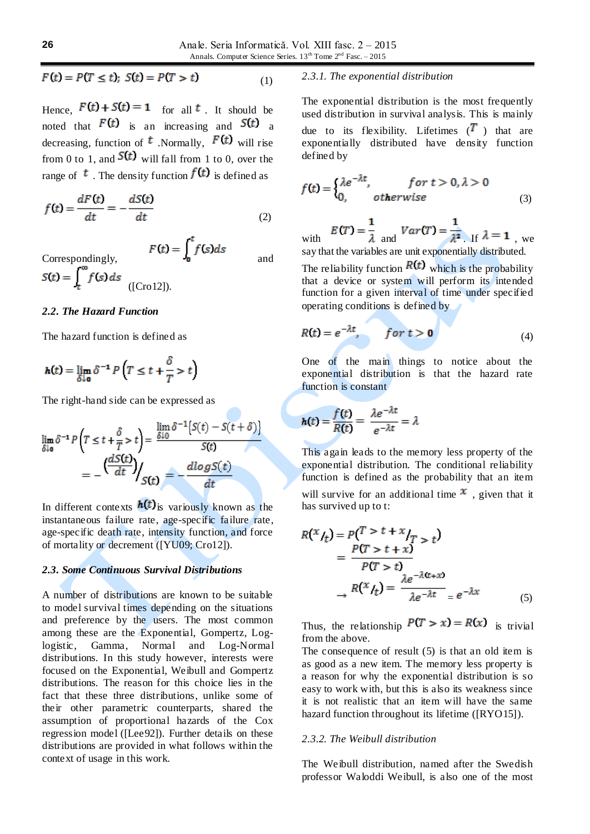$$
F(t) = P(T \le t); \ S(t) = P(T > t) \tag{1}
$$

Hence,  $F(t) + S(t) = 1$  for all t. It should be noted that  $F(t)$  is an increasing and  $S(t)$  a decreasing, function of  $<sup>t</sup>$ . Normally,  $F(t)$  will rise</sup> from 0 to 1, and  $S(t)$  will fall from 1 to 0, over the range of  $\bar{t}$ . The density function  $f(t)$  is defined as

$$
f(t) = \frac{dF(t)}{dt} = -\frac{dS(t)}{dt}
$$
\n(2)

Correspondingly,  $F(t) = \int_0^t f(s)ds$  and

# $S(t) = \int_{t}^{\infty} f(s) ds$  ([Cro12]).

### *2.2. The Hazard Function*

The hazard function is defined as

$$
h(t) = \lim_{\delta \downarrow 0} \delta^{-1} P \left( T \le t + \frac{\delta}{T} > t \right)
$$

The right-hand side can be expressed as

$$
\lim_{\delta \downarrow 0} \delta^{-1} P \left( T \le t + \frac{\delta}{T} > t \right) = \frac{\lim_{\delta \downarrow 0} \delta^{-1} \{ S(t) - S(t + \delta) \}}{S(t)}
$$

$$
= - \left( \frac{dS(t)}{dt} \right) / S(t) = - \frac{d \log S(t)}{dt}
$$

In different contexts  $h(t)$  is variously known as the instantaneous failure rate, age-specific failure rate, age-specific death rate, intensity function, and force of mortality or decrement ([YU09; Cro12]).

### *2.3. Some Continuous Survival Distributions*

A number of distributions are known to be suitable to model survival times depending on the situations and preference by the users. The most common among these are the Exponential, Gompertz, Loglogistic, Gamma, Normal and Log-Normal distributions. In this study however, interests were focused on the Exponential, Weibull and Gompertz distributions. The reason for this choice lies in the fact that these three distributions, unlike some of their other parametric counterparts, shared the assumption of proportional hazards of the Cox regression model ([Lee92]). Further details on these distributions are provided in what follows within the context of usage in this work.

# *2.3.1. The exponential distribution*

The exponential distribution is the most frequently used distribution in survival analysis. This is mainly due to its flexibility. Lifetimes  $(T)$  that are exponentially distributed have density function defined by

$$
f(t) = \begin{cases} \lambda e^{-\lambda t}, & \text{for } t > 0, \lambda > 0\\ 0, & \text{otherwise} \end{cases}
$$
 (3)

with  $E(T) = \frac{1}{\lambda}$  and  $Var(T) = \frac{1}{\lambda^2}$  If  $\lambda = 1$ , we say that the variables are unit exponentially distributed.

The reliability function  $R(t)$  which is the probability that a device or system will perform its intended function for a given interval of time under specified operating conditions is defined by

$$
R(t) = e^{-\lambda t}, \qquad \text{for } t > 0 \tag{4}
$$

One of the main things to notice about the exponential distribution is that the hazard rate function is constant

$$
h(t) = \frac{f(t)}{R(t)} = \frac{\lambda e^{-\lambda t}}{e^{-\lambda t}} = \lambda
$$

This again leads to the memory less property of the exponential distribution. The conditional reliability function is defined as the probability that an item will survive for an additional time  $\mathbf x$ , given that it has survived up to t:

$$
R(x/t_t) = P(T > t + x/t_T > t)
$$
  
= 
$$
\frac{P(T > t + x)}{P(T > t)}
$$
  

$$
\rightarrow R(x/t_t) = \frac{\lambda e^{-\lambda(x+x)}}{\lambda e^{-\lambda t}} = e^{-\lambda x}
$$
 (5)

Thus, the relationship  $P(T > x) = R(x)$  is trivial from the above.

The consequence of result (5) is that an old item is as good as a new item. The memory less property is a reason for why the exponential distribution is so easy to work with, but this is also its weakness since it is not realistic that an item will have the same hazard function throughout its lifetime ([RYO15]).

#### *2.3.2. The Weibull distribution*

The Weibull distribution, named after the Swedish professor Waloddi Weibull, is also one of the most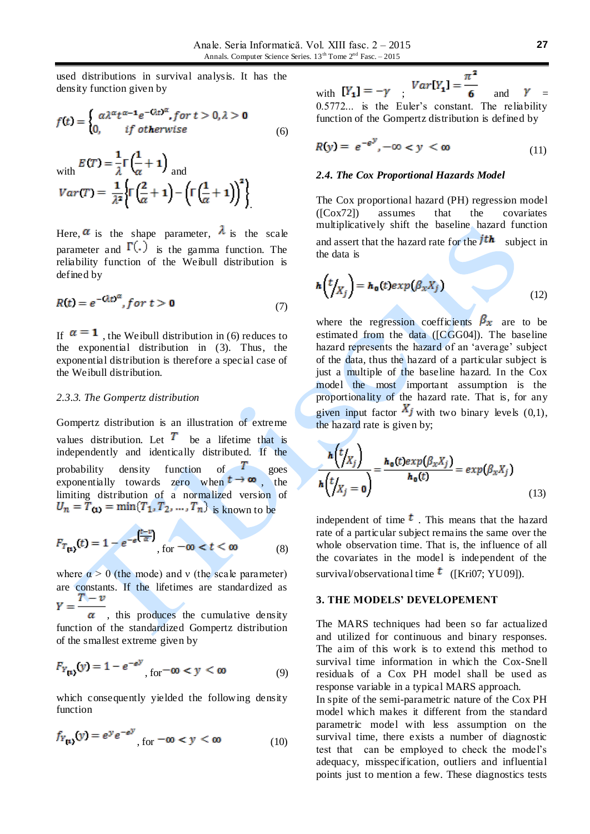used distributions in survival analysis. It has the density function given by

$$
f(t) = \begin{cases} \alpha \lambda^{\alpha} t^{\alpha - 1} e^{-\mathcal{Q}_t t^{\alpha}}, \text{for } t > 0, \lambda > 0\\ 0, \quad \text{if otherwise} \end{cases} \tag{6}
$$

with 
$$
E(T) = \frac{1}{\lambda} \Gamma \left( \frac{1}{\alpha} + 1 \right)
$$
  
and  

$$
Var(T) = \frac{1}{\lambda^2} \left\{ \Gamma \left( \frac{2}{\alpha} + 1 \right) - \left( \Gamma \left( \frac{1}{\alpha} + 1 \right) \right)^2 \right\}
$$

Here,  $\alpha$  is the shape parameter,  $\lambda$  is the scale parameter and  $\Gamma(.)$  is the gamma function. The reliability function of the Weibull distribution is defined by

$$
R(t) = e^{-\mathcal{Q}tD^{\alpha}}, \text{for } t > \mathbf{0}
$$
\n<sup>(7)</sup>

If  $\alpha = 1$ , the Weibull distribution in (6) reduces to the exponential distribution in (3). Thus, the exponential distribution is therefore a special case of the Weibull distribution.

### *2.3.3. The Gompertz distribution*

Gompertz distribution is an illustration of extreme values distribution. Let  $\overline{T}$  be a lifetime that is independently and identically distributed. If the probability density function of **1** goes exponentially towards zero when  $t \rightarrow \infty$ , the limiting distribution of a normalized version of  $U_n = \overline{T}_{(1)} = \min\{T_1, T_2, ..., T_n\}$  is known to be

$$
F_{T_{\text{[1]}}}(t) = 1 - e^{-e^{\left(\frac{t-v}{\alpha}\right)}}, \text{ for } -\infty < t < \infty \tag{8}
$$

where  $\alpha > 0$  (the mode) and v (the scale parameter) are constants. If the lifetimes are standardized as  $Y = \frac{T - v}{\alpha}$ , this produces the cumulative density

function of the standardized Gompertz distribution of the smallest extreme given by

$$
F_{Y_{\text{[1]}}}(y) = 1 - e^{-e^y}, \text{for } -\infty < y < \infty \tag{9}
$$

which consequently yielded the following density function

$$
f_{Y_{\text{[1]}}}(y) = e^{y}e^{-e^{y}}, \text{for } -\infty < y < \infty \tag{10}
$$

with  $[Y_1] = -\gamma$ ,  $Var[Y_1] = \frac{\pi^2}{6}$  and 0.5772... is the Euler's constant. The reliability function of the Gompertz distribution is defined by

$$
R(y) = e^{-e^y}, -\infty < y < \infty \tag{11}
$$

### *2.4. The Cox Proportional Hazards Model*

The Cox proportional hazard (PH) regression model  $( [Cox72] )$  assumes that the covariates ([Cox72]) assumes that the covariates multiplicatively shift the baseline hazard function and assert that the hazard rate for the  $j$ th subject in the data is

$$
h(t|X_j) = h_0(t) exp(\beta_x X_j)
$$
 (12)

where the regression coefficients  $\beta_x$  are to be estimated from the data ([CGG04]). The baseline hazard represents the hazard of an 'average' subject of the data, thus the hazard of a particular subject is just a multiple of the baseline hazard. In the Cox model the most important assumption is the proportionality of the hazard rate. That is, for any given input factor  $X_j$  with two binary levels (0,1), the hazard rate is given by;

$$
\frac{h(t/X_j)}{h(t/X_j=0)} = \frac{h_0(t)exp(\beta_x X_j)}{h_0(t)} = exp(\beta_x X_j)
$$
\n(13)

independent of time  $\mathbf{t}$ . This means that the hazard rate of a particular subject remains the same over the whole observation time. That is, the influence of all the covariates in the model is independent of the survival/observational time  $\bar{t}$  ([Kri07; YU09]).

### **3. THE MODELS' DEVELOPEMENT**

The MARS techniques had been so far actualized and utilized for continuous and binary responses. The aim of this work is to extend this method to survival time information in which the Cox-Snell residuals of a Cox PH model shall be used as response variable in a typical MARS approach.

In spite of the semi-parametric nature of the Cox PH model which makes it different from the standard parametric model with less assumption on the survival time, there exists a number of diagnostic test that can be employed to check the model's adequacy, misspecification, outliers and influential points just to mention a few. These diagnostics tests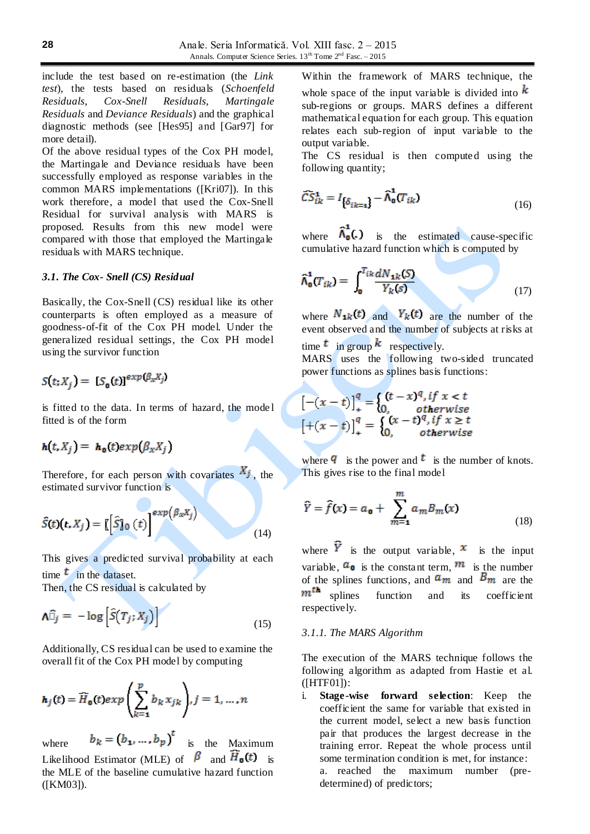include the test based on re-estimation (the *Link test*), the tests based on residuals (*Schoenfeld Residuals, Cox-Snell Residuals, Martingale Residuals* and *Deviance Residuals*) and the graphical diagnostic methods (see [Hes95] and [Gar97] for more detail).

Of the above residual types of the Cox PH model, the Martingale and Deviance residuals have been successfully employed as response variables in the common MARS implementations ([Kri07]). In this work therefore, a model that used the Cox-Snell Residual for survival analysis with MARS is proposed. Results from this new model were compared with those that employed the Martingale residuals with MARS technique.

### *3.1. The Cox- Snell (CS) Residual*

Basically, the Cox-Snell (CS) residual like its other counterparts is often employed as a measure of goodness-of-fit of the Cox PH model. Under the generalized residual settings, the Cox PH model using the survivor function

$$
S(t; X_i) = [S_{\mathbf{a}}(t)]^{exp(\beta_x X_j)}
$$

is fitted to the data. In terms of hazard, the mode l fitted is of the form

# $h(t, X_i) = h_0(t) exp(\beta_x X_i)$

Therefore, for each person with covariates  $X_j$ , the estimated survivor function is

$$
\hat{S}(t)(t, X_j) = \left[\left[\hat{S}\right]_0(t)\right]^{exp(\beta_x X_j)}
$$
(14)

This gives a predicted survival probability at each time  $t$  in the dataset.

Then, the CS residual is calculated by

$$
\Lambda \widehat{\Box}_j = -\log \left[ \widehat{S}(T_j; X_j) \right] \tag{15}
$$

Additionally, CS residual can be used to examine the overall fit of the Cox PH model by computing

$$
\mathbf{h}_j(t) = \widehat{H}_0(t) exp\left(\sum_{k=1}^p b_k x_{jk}\right), j = 1, \dots, n
$$

where  $b_k = (b_1, ..., b_p)^t$  is the Maximum Likelihood Estimator (MLE) of  $\beta$  and  $\overline{H}_{\text{o}}(t)$  is the MLE of the baseline cumulative hazard function ([\[KM0](http://lu.summon.serialssolutions.com/search?s.dym=false&s.q=Author%3A%22Klein%2C+John+P%22)3]).

Within the framework of MARS technique, the whole space of the input variable is divided into  $k$ sub-regions or groups. MARS defines a different mathematical equation for each group. This equation relates each sub-region of input variable to the output variable.

The CS residual is then computed using the following quantity;

$$
\widehat{CS}_{ik}^1 = I_{\{\delta_{ik=1}\}} - \widehat{\Lambda}_0^1(T_{ik})
$$
\n(16)

where  $\hat{\Lambda}_{0}^{\dagger}(\cdot)$  is the estimated cause-specific cumulative hazard function which is computed by

$$
\widehat{\Lambda}_{\mathbf{0}}^{\mathbf{1}}(T_{ik}) = \int_{\mathbf{0}}^{T_{ik}} \frac{dN_{1k}(S)}{Y_k(s)}
$$
(17)

where  $N_{1k}(t)$  and  $Y_k(t)$  are the number of the event observed and the number of subjects at risks at time  $t$  in group  $k$  respectively.

MARS uses the following two-sided truncated power functions as splines basis functions:

$$
[-(x-t)]_+^q = \begin{cases} (t-x)^q, if x < t \\ 0, & otherwise \end{cases}
$$

$$
[+(x-t)]_+^q = \begin{cases} (x-t)^q, if x \ge t \\ 0, & otherwise \end{cases}
$$

where  $\bf{q}$  is the power and  $\bf{t}$  is the number of knots. This gives rise to the final model

$$
\widehat{Y} = \widehat{f}(x) = a_0 + \sum_{m=1}^{m} a_m B_m(x) \tag{18}
$$

where  $\tilde{Y}$  is the output variable,  $x$  is the input variable,  $a_0$  is the constant term,  $m$  is the number of the splines functions, and  $a_m$  and  $B_m$  are the  $m^{th}$  splines function and its coefficient function and its coefficient respectively.

### *3.1.1. The MARS Algorithm*

The execution of the MARS technique follows the following algorithm as adapted from Hastie et al. ([HTF01]):

i. **Stage-wise forward selection**: Keep the coefficient the same for variable that existed in the current model, select a new basis function pair that produces the largest decrease in the training error. Repeat the whole process until some termination condition is met, for instance: a. reached the maximum number (predetermined) of predictors;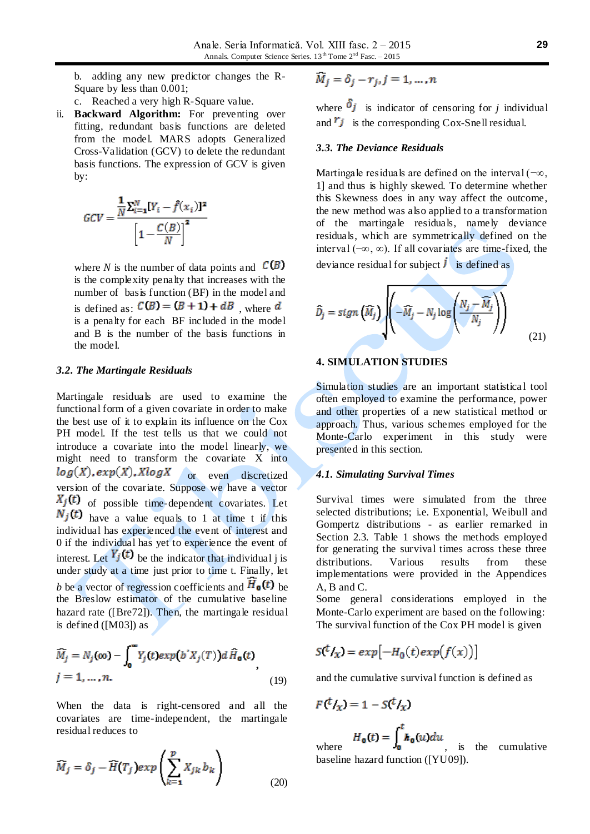b. adding any new predictor changes the R-Square by less than 0.001;

c. Reached a very high R-Square value.

ii. **Backward Algorithm:** For preventing over fitting, redundant basis functions are deleted from the model. MARS adopts Generalized Cross-Validation (GCV) to delete the redundant basis functions. The expression of GCV is given by:

$$
GCV = \frac{\frac{1}{N} \sum_{i=1}^{N} [Y_i - \hat{f}(x_i)]^2}{\left[1 - \frac{C(B)}{N}\right]^2}
$$

where *N* is the number of data points and  $C(B)$ is the complexity penalty that increases with the number of basis function (BF) in the model and is defined as:  $C(B) = (B + 1) + dB$ , where d is a penalty for each BF included in the model and B is the number of the basis functions in the model.

### *3.2. The Martingale Residuals*

Martingale residuals are used to examine the functional form of a given covariate in order to make the best use of it to explain its influence on the Cox PH model. If the test tells us that we could not introduce a covariate into the model linearly, we might need to transform the covariate X into  $log(X)$ ,  $exp(X)$ ,  $XlogX$  or even discretized version of the covariate. Suppose we have a vector  $X_j(t)$  of possible time-dependent covariates. Let  $N_j(t)$  have a value equals to 1 at time t if this individual has experienced the event of interest and 0 if the individual has yet to experience the event of interest. Let  $Y_j(t)$  be the indicator that individual j is under study at a time just prior to time t. Finally, let *b* be a vector of regression coefficients and  $\overline{H}_{\text{o}}(t)$  be the Breslow estimator of the cumulative baseline hazard rate ([Bre72]). Then, the martingale residual is defined ([M03]) as

$$
\widehat{M}_j = N_j(\infty) - \int_0^\infty Y_j(t) \exp(b'X_j(T)) d\widehat{H}_0(t)
$$
\n
$$
j = 1, \dots, n. \tag{19}
$$

When the data is right-censored and all the covariates are time-independent, the martingale residual reduces to

$$
\widehat{M}_j = \delta_j - \widehat{H}(T_j) exp\left(\sum_{k=1}^p X_{jk} b_k\right)
$$
\n(20)

$$
\overline{M}_j = \delta_j - r_j, j = 1, \dots, n
$$

where  $\delta_j$  is indicator of censoring for *j* individual and  $\overline{r_j}$  is the corresponding Cox-Snell residual.

#### *3.3. The Deviance Residuals*

Martingale residuals are defined on the interval ( $-\infty$ , 1] and thus is highly skewed. To determine whether this Skewness does in any way affect the outcome, the new method was also applied to a transformation of the martingale residuals, namely deviance residuals, which are symmetrically defined on the interval (−∞, ∞). If all covariates are time-fixed, the deviance residual for subject  $\vec{l}$  is defined as

$$
\widehat{D}_j = sign\left(\widehat{M}_j\right) \left( -\widehat{M}_j - N_j \log \left( \frac{N_j - \widehat{M}_j}{N_j} \right) \right) \tag{21}
$$

# **4. SIMULATION STUDIES**

Simulation studies are an important statistica l tool often employed to examine the performance, power and other properties of a new statistical method or approach. Thus, various schemes employed for the Monte-Carlo experiment in this study were presented in this section.

### *4.1. Simulating Survival Times*

Survival times were simulated from the three selected distributions; i.e. Exponential, Weibull and Gompertz distributions - as earlier remarked in Section 2.3. Table 1 shows the methods employed for generating the survival times across these three distributions. Various results from these implementations were provided in the Appendices A, B and C.

Some general considerations employed in the Monte-Carlo experiment are based on the following: The survival function of the Cox PH model is given

$$
S(^tI_X) = exp[-H_0(t)exp(f(x))]
$$

and the cumulative survival function is defined as

$$
F({}^tI_{\chi})=1-S({}^tI_{\chi})
$$

$$
H_{\mathbf{0}}(t) = \int_{0}^{t} h_{\mathbf{0}}(u) du
$$

where  $\frac{1}{2}$   $\frac{1}{2}$   $\frac{1}{2}$   $\frac{1}{2}$  is the cumulative baseline hazard function ([YU09]).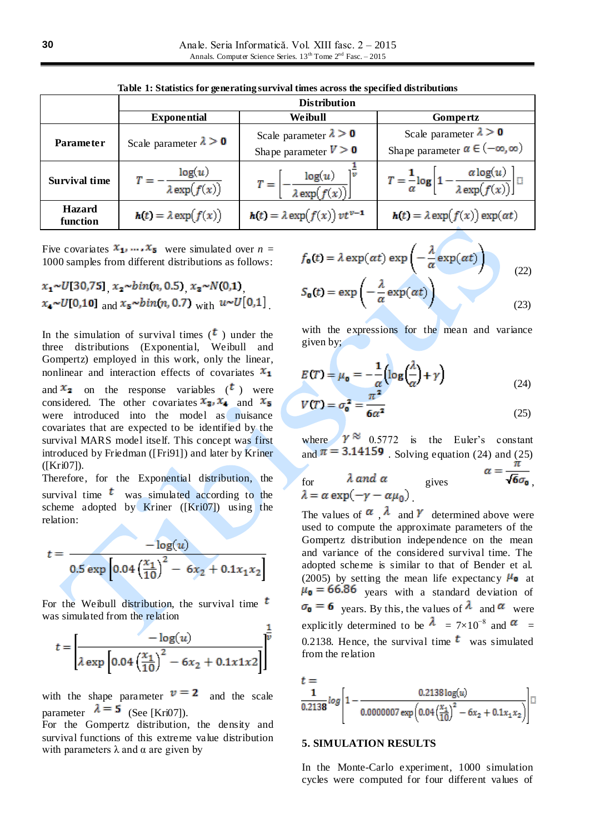|                           | <b>Distribution</b>                            |                                                          |                                                                                          |  |  |  |
|---------------------------|------------------------------------------------|----------------------------------------------------------|------------------------------------------------------------------------------------------|--|--|--|
|                           | <b>Exponential</b>                             | Weibull                                                  | Gompertz                                                                                 |  |  |  |
| <b>Parameter</b>          | Scale parameter $\lambda > 0$                  | Scale parameter $\lambda > 0$<br>Shape parameter $V > 0$ | Scale parameter $\lambda > 0$<br>Shape parameter $\alpha \in (-\infty, \infty)$          |  |  |  |
| <b>Survival time</b>      | $\Gamma = -\frac{\log(u)}{\lambda \exp(f(x))}$ | $T = \left[ -\frac{\log(u)}{\lambda \exp(f(x))} \right]$ | $T = \frac{1}{\alpha} \log \left[ 1 - \frac{\alpha \log(u)}{\lambda \exp(f(x))} \right]$ |  |  |  |
| <b>Hazard</b><br>function | $h(t) = \lambda \exp(f(x))$                    | $h(t) = \lambda \exp(f(x)) vt^{\nu-1}$                   | $h(t) = \lambda \exp(f(x)) \exp(\alpha t)$                                               |  |  |  |

**Table 1: Statistics for generating survival times across the specified distributions**

Five covariates  $x_1, ..., x_5$  were simulated over  $n =$ 1000 samples from different distributions as follows:

$$
x_1 \sim U[30,75]
$$
,  $x_2 \sim bin(n, 0.5)$ ,  $x_2 \sim N(0,1)$ ,  
 $x_4 \sim U[0,10]$  and  $x_5 \sim bin(n, 0.7)$  with  $u \sim U[0,1]$ .

In the simulation of survival times  $({\bf t})$  under the three distributions (Exponential, Weibull and Gompertz) employed in this work, only the linear, nonlinear and interaction effects of covariates  $x_1$ 

and  $x_2$  on the response variables  $(t)$  were considered. The other covariates  $x_3$ ,  $x_4$  and  $x_5$ were introduced into the model as nuisance covariates that are expected to be identified by the survival MARS model itself. This concept was first introduced by Friedman ([Fri91]) and later by Kriner ([Kri07]).

Therefore, for the Exponential distribution, the survival time  $\epsilon$  was simulated according to the scheme adopted by Kriner ([Kri07]) using the relation:

$$
t = \frac{-\log(u)}{0.5 \exp\left[0.04 \left(\frac{x_1}{10}\right)^2 - 6x_2 + 0.1x_1x_2\right]}
$$

For the Weibull distribution, the survival time  $<sup>t</sup>$ </sup> was simulated from the relation

$$
t = \left[\frac{-\log(u)}{\lambda \exp\left[0.04\left(\frac{x_1}{10}\right)^2 - 6x_2 + 0.1x1x2\right]}\right]^{\frac{1}{v}}
$$

with the shape parameter  $v = 2$  and the scale parameter  $\lambda = 5$  (See [Kri07]).

For the Gompertz distribution, the density and survival functions of this extreme value distribution with parameters  $\lambda$  and  $\alpha$  are given by

$$
f_{\mathbf{0}}(t) = \lambda \exp(\alpha t) \exp\left(-\frac{\lambda}{\alpha} \exp(\alpha t)\right)
$$
  

$$
S_{\mathbf{0}}(t) = \exp\left(-\frac{\lambda}{\alpha} \exp(\alpha t)\right)
$$
 (23)

with the expressions for the mean and variance given by;

$$
E(T) = \mu_0 = -\frac{1}{\alpha} \left( \log \left( \frac{\lambda}{\alpha} \right) + \gamma \right)
$$
(24)

$$
V(T) = \sigma_0^2 = \frac{\sigma_0^2}{6\alpha^2} \tag{25}
$$

where  $\gamma \approx 0.5772$  is the Euler's constant and  $\pi = 3.14159$ . Solving equation (24) and (25)

for 
$$
\lambda
$$
 and  $\alpha$  gives  $\lambda = \alpha \exp(-\gamma - \alpha \mu_0)$ 

The values of  $\alpha$ ,  $\lambda$  and  $\gamma$  determined above were used to compute the approximate parameters of the Gompertz distribution independence on the mean and variance of the considered survival time. The adopted scheme is similar to that of Bender et al. (2005) by setting the mean life expectancy  $\mu_0$  at  $\mu_0 = 66.86$  years with a standard deviation of  $\sigma_0 = 6$  years. By this, the values of  $\lambda$  and  $\alpha$  were explicitly determined to be  $\lambda = 7 \times 10^{-8}$  and  $\alpha$  = 0.2138. Hence, the survival time  $<sup>t</sup>$  was simulated</sup> from the relation

$$
t = \frac{1}{0.2138} log \left[ 1 - \frac{0.2138 log(u)}{0.0000007 exp \left( 0.04 \left( \frac{x_1}{10} \right)^2 - 6x_2 + 0.1x_1 x_2 \right) } \right]
$$

### **5. SIMULATION RESULTS**

In the Monte-Carlo experiment, 1000 simulation cycles were computed for four different values of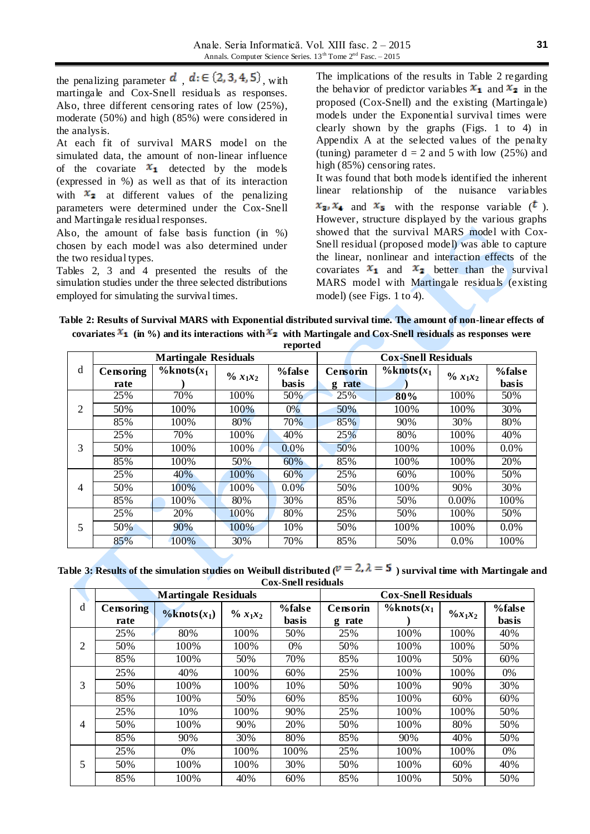the penalizing parameter  $d$ ,  $d \in (2, 3, 4, 5)$ , with martingale and Cox-Snell residuals as responses. Also, three different censoring rates of low (25%), moderate (50%) and high (85%) were considered in the analysis.

At each fit of survival MARS model on the simulated data, the amount of non-linear influence of the covariate  $x_1$  detected by the models (expressed in %) as well as that of its interaction with  $x_2$  at different values of the penalizing parameters were determined under the Cox-Snell and Martingale residual responses.

Also, the amount of false basis function (in %) chosen by each model was also determined under the two residual types.

Tables 2, 3 and 4 presented the results of the simulation studies under the three selected distributions employed for simulating the survival times.

The implications of the results in Table 2 regarding the behavior of predictor variables  $x_1$  and  $x_2$  in the proposed (Cox-Snell) and the existing (Martingale) models under the Exponential survival times were clearly shown by the graphs (Figs. 1 to 4) in Appendix A at the selected values of the penalty (tuning) parameter  $d = 2$  and 5 with low (25%) and high (85%) censoring rates. It was found that both models identified the inherent linear relationship of the nuisance variables  $x_3$ ,  $x_4$  and  $x_5$  with the response variable  $(t)$ . However, structure displayed by the various graphs showed that the survival MARS model with Cox-Snell residual (proposed model) was able to capture the linear, nonlinear and interaction effects of the

covariates  $x_1$  and  $x_2$  better than the survival MARS model with Martingale residuals (existing model) (see Figs. 1 to 4).

| Table 2: Results of Survival MARS with Exponential distributed survival time. The amount of non-linear effects of                       |             |  |  |
|-----------------------------------------------------------------------------------------------------------------------------------------|-------------|--|--|
| covariates $\mathfrak{X}_1$ (in %) and its interactions with $\mathfrak{X}_2$ with Martingale and Cox-Snell residuals as responses were |             |  |  |
|                                                                                                                                         | ----------- |  |  |

|                | <b>Martingale Residuals</b> |                    |                       |                 | <b>Cox-Snell Residuals</b> |                    |              |                 |  |
|----------------|-----------------------------|--------------------|-----------------------|-----------------|----------------------------|--------------------|--------------|-----------------|--|
| d              | Censoring<br>rate           | $\%$ knots $(x_1)$ | $\frac{9}{6} x_1 x_2$ | %false<br>basis | Censorin<br>rate<br>g      | $\%$ knots $(x_1)$ | $\% x_1 x_2$ | %false<br>basis |  |
|                | 25%                         | 70%                | 100%                  | 50%             | 25%                        | 80%                | 100%         | 50%             |  |
| $\overline{2}$ | 50%                         | 100%               | 100%                  | 0%              | 50%                        | 100%               | 100%         | 30%             |  |
|                | 85%                         | 100%               | 80%                   | 70%             | 85%                        | 90%                | 30%          | 80%             |  |
|                | 25%                         | 70%                | 100%                  | 40%             | 25%                        | 80%                | 100%         | 40%             |  |
| 3              | 50%                         | 100%               | 100%                  | $0.0\%$         | 50%                        | 100%               | 100%         | $0.0\%$         |  |
|                | 85%                         | 100%               | 50%                   | 60%             | 85%                        | 100%               | 100%         | 20%             |  |
|                | 25%                         | 40%                | 100%                  | 60%             | 25%                        | 60%                | 100%         | 50%             |  |
| $\overline{4}$ | 50%                         | 100%               | 100%                  | $0.0\%$         | 50%                        | 100%               | 90%          | 30%             |  |
|                | 85%                         | 100%               | 80%                   | 30%             | 85%                        | 50%                | $0.00\%$     | 100%            |  |
|                | 25%                         | 20%                | 100%                  | 80%             | 25%                        | 50%                | 100%         | 50%             |  |
| 5              | 50%                         | 90%                | 100%                  | 10%             | 50%                        | 100%               | 100%         | $0.0\%$         |  |
|                | 85%                         | 100%               | 30%                   | 70%             | 85%                        | 50%                | $0.0\%$      | 100%            |  |

Table 3: Results of the simulation studies on Weibull distributed ( $v = 2$ ,  $\lambda = 5$ ) survival time with Martingale and **Cox-Snell residuals**

|                | <b>Martingale Residuals</b> |                    |              |              | <b>Cox-Snell Residuals</b> |                    |                    |              |
|----------------|-----------------------------|--------------------|--------------|--------------|----------------------------|--------------------|--------------------|--------------|
| d              | Censoring                   | $\%$ knots $(x_1)$ |              | %false       | Censorin                   | $\%$ knots $(x_1)$ | $\frac{9}{x_1x_2}$ | %false       |
|                | rate                        |                    | $\% x_1 x_2$ | <b>basis</b> | rate<br>g                  |                    |                    | <b>basis</b> |
|                | 25%                         | 80%                | 100%         | 50%          | 25%                        | 100%               | 100%               | 40%          |
| 2              | 50%                         | 100%               | 100%         | $0\%$        | 50%                        | 100%               | 100\%              | 50%          |
|                | 85%                         | 100%               | 50%          | 70%          | 85%                        | 100%               | 50%                | 60%          |
|                | 25%                         | 40%                | 100%         | 60%          | 25%                        | 100%               | 100%               | 0%           |
| 3              | 50%                         | 100%               | 100%         | 10%          | 50%                        | 100%               | 90%                | 30%          |
|                | 85%                         | 100%               | 50%          | 60%          | 85%                        | 100%               | 60%                | 60%          |
|                | 25%                         | 10%                | 100%         | 90%          | 25%                        | 100%               | 100\%              | 50%          |
| $\overline{4}$ | 50%                         | 100\%              | 90%          | 20%          | 50%                        | 100%               | 80%                | 50%          |
|                | 85%                         | 90%                | 30%          | 80%          | 85%                        | 90%                | 40%                | 50%          |
|                | 25%                         | $0\%$              | 100%         | 100%         | 25%                        | 100%               | 100\%              | $0\%$        |
| 5              | 50%                         | 100%               | 100%         | 30%          | 50%                        | 100%               | 60%                | 40%          |
|                | 85%                         | 100%               | 40%          | 60%          | 85%                        | 100%               | 50%                | 50%          |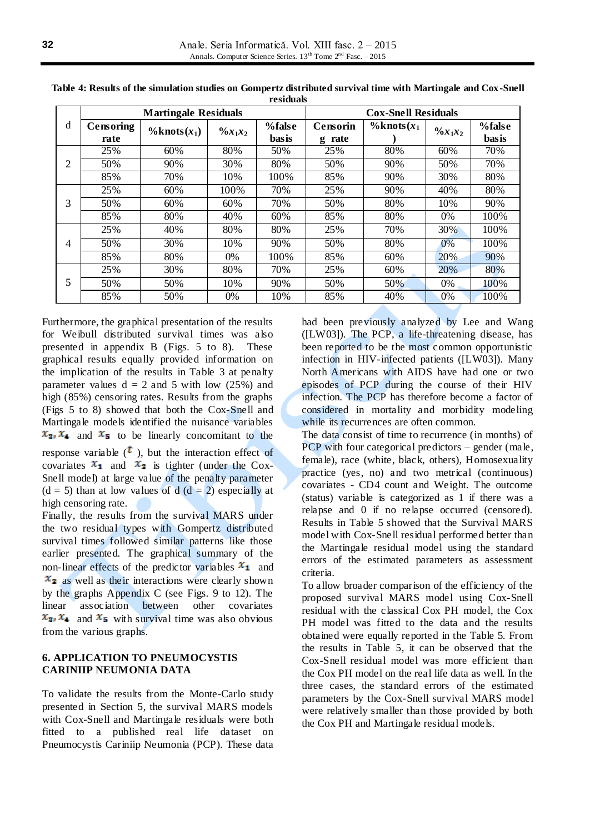|   | <b>Martingale Residuals</b> |                    |                    |                 | <b>Cox-Snell Residuals</b> |                    |                    |                 |
|---|-----------------------------|--------------------|--------------------|-----------------|----------------------------|--------------------|--------------------|-----------------|
| d | Censoring<br>rate           | $\%$ knots $(x_1)$ | $\frac{6}{x_1x_2}$ | %false<br>basis | Censorin<br>rate<br>g      | $\%$ knots $(x_1)$ | $\frac{6}{x_1x_2}$ | %false<br>basis |
|   | 25%                         | 60%                | 80%                | 50%             | 25%                        | 80%                | 60%                | 70%             |
| 2 | 50%                         | 90%                | 30%                | 80%             | 50%                        | 90%                | 50%                | 70%             |
|   | 85%                         | 70%                | 10%                | 100%            | 85%                        | 90%                | 30%                | 80%             |
|   | 25%                         | 60%                | 100%               | 70%             | 25%                        | 90%                | 40%                | 80%             |
| 3 | 50%                         | 60%                | 60%                | 70%             | 50%                        | 80%                | 10%                | 90%             |
|   | 85%                         | 80%                | 40%                | 60%             | 85%                        | 80%                | 0%                 | 100%            |
|   | 25%                         | 40\%               | 80%                | 80%             | 25%                        | 70%                | 30%                | 100%            |
| 4 | 50%                         | 30%                | 10%                | 90%             | 50%                        | 80%                | $0\%$              | 100%            |
|   | 85%                         | 80%                | 0%                 | 100%            | 85%                        | 60%                | 20%                | 90%             |
|   | 25%                         | 30%                | 80%                | 70%             | 25%                        | 60%                | 20%                | 80%             |
| 5 | 50%                         | 50%                | 10%                | 90%             | 50%                        | 50%                | 0%                 | 100%            |
|   | 85%                         | 50%                | 0%                 | 10%             | 85%                        | 40%                | 0%                 | 100%            |

**Table 4: Results of the simulation studies on Gompertz distributed survival time with Martingale and Cox-Snell residuals**

Furthermore, the graphical presentation of the results for Weibull distributed survival times was also presented in appendix B (Figs. 5 to 8). These graphical results equally provided information on the implication of the results in Table 3 at penalty parameter values  $d = 2$  and 5 with low (25%) and high (85%) censoring rates. Results from the graphs (Figs 5 to 8) showed that both the Cox-Snell and Martingale models identified the nuisance variables  $x_3$ ,  $x_4$  and  $x_5$  to be linearly concomitant to the

response variable  $($ **t**), but the interaction effect of covariates  $x_1$  and  $x_2$  is tighter (under the Cox-Snell model) at large value of the penalty parameter  $(d = 5)$  than at low values of d  $(d = 2)$  especially at high censoring rate.

Finally, the results from the survival MARS under the two residual types with Gompertz distributed survival times followed similar patterns like those earlier presented. The graphical summary of the non-linear effects of the predictor variables  $x_1$  and  $x<sub>2</sub>$  as well as their interactions were clearly shown by the graphs Appendix C (see Figs. 9 to 12). The linear association between other covariates  $x_3$ ,  $x_4$  and  $x_5$  with survival time was also obvious from the various graphs.

# **6. APPLICATION TO PNEUMOCYSTIS CARINIIP NEUMONIA DATA**

To validate the results from the Monte-Carlo study presented in Section 5, the survival MARS models with Cox-Snell and Martingale residuals were both fitted to a published real life dataset on Pneumocystis Cariniip Neumonia (PCP). These data had been previously analyzed by Lee and Wang ([LW03]). The PCP, a life-threatening disease, has been reported to be the most common opportunistic infection in HIV-infected patients ([LW03]). Many North Americans with AIDS have had one or two episodes of PCP during the course of their HIV infection. The PCP has therefore become a factor of considered in mortality and morbidity modeling while its recurrences are often common.

The data consist of time to recurrence (in months) of PCP with four categorical predictors – gender (male, female), race (white, black, others), Homosexuality practice (yes, no) and two metrical (continuous) covariates - CD4 count and Weight. The outcome (status) variable is categorized as 1 if there was a relapse and 0 if no relapse occurred (censored). Results in Table 5 showed that the Survival MARS model with Cox-Snell residual performed better than the Martingale residual model using the standard errors of the estimated parameters as assessment criteria.

To allow broader comparison of the efficiency of the proposed survival MARS model using Cox-Snell residual with the classical Cox PH model, the Cox PH model was fitted to the data and the results obtained were equally reported in the Table 5. From the results in Table 5, it can be observed that the Cox-Snell residual model was more efficient than the Cox PH model on the real life data as well. In the three cases, the standard errors of the estimated parameters by the Cox-Snell survival MARS model were relatively smaller than those provided by both the Cox PH and Martingale residual models.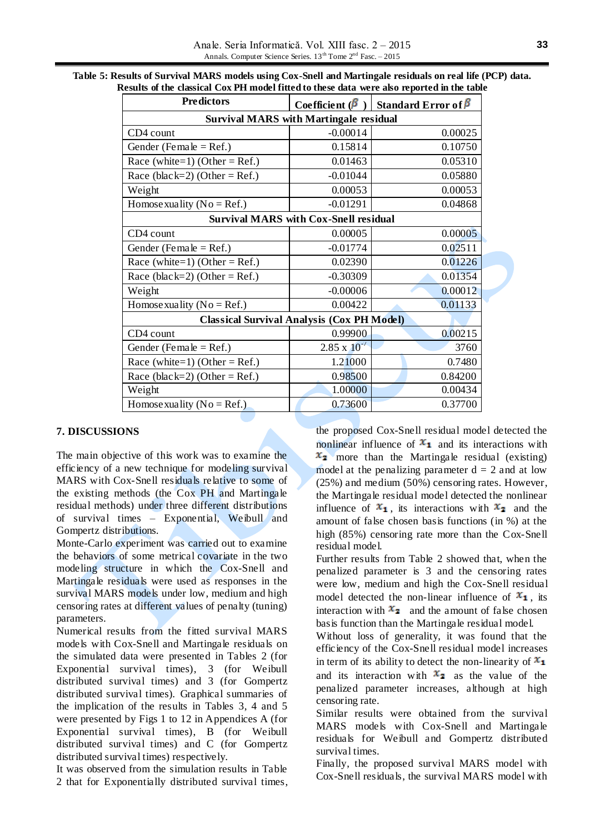Anale. Seria Informatică. Vol. XIII fasc. 2 – 2015 Annals. Computer Science Series.  $13^{th}$  Tome  $2^{nd}$  Fasc. – 2015

| <b>Predictors</b>                             | Coefficient ( $\beta$ )                           | <b>Standard Error of <math>\beta</math></b> |  |  |  |  |
|-----------------------------------------------|---------------------------------------------------|---------------------------------------------|--|--|--|--|
| <b>Survival MARS with Martingale residual</b> |                                                   |                                             |  |  |  |  |
| CD4 count                                     | $-0.00014$                                        | 0.00025                                     |  |  |  |  |
| Gender (Female = $Ref.$ )                     | 0.15814                                           | 0.10750                                     |  |  |  |  |
| Race (white=1) (Other = Ref.)                 | 0.01463                                           | 0.05310                                     |  |  |  |  |
| Race (black=2) (Other = Ref.)                 | $-0.01044$                                        | 0.05880                                     |  |  |  |  |
| Weight                                        | 0.00053                                           | 0.00053                                     |  |  |  |  |
| Homosexuality ( $No = Ref.$ )                 | $-0.01291$                                        | 0.04868                                     |  |  |  |  |
|                                               | <b>Survival MARS with Cox-Snell residual</b>      |                                             |  |  |  |  |
| CD4 count                                     | 0.00005                                           | 0.00005                                     |  |  |  |  |
| Gender (Female = $Ref.$ )                     | $-0.01774$                                        | 0.02511                                     |  |  |  |  |
| Race (white=1) (Other = Ref.)                 | 0.02390                                           | 0.01226                                     |  |  |  |  |
| Race (black=2) (Other = Ref.)                 | $-0.30309$                                        | 0.01354                                     |  |  |  |  |
| Weight                                        | $-0.00006$                                        | 0.00012                                     |  |  |  |  |
| Homose xuality ( $No = Ref.$ )                | 0.00422                                           | 0.01133                                     |  |  |  |  |
|                                               | <b>Classical Survival Analysis (Cox PH Model)</b> |                                             |  |  |  |  |
| CD4 count                                     | 0.99900                                           | 0.00215                                     |  |  |  |  |
| Gender (Female = Ref.)                        | $2.85 \times 10^{-7}$                             | 3760                                        |  |  |  |  |
| Race (white=1) (Other = Ref.)                 | 1.21000                                           | 0.7480                                      |  |  |  |  |
| Race (black=2) (Other = Ref.)                 | 0.98500                                           | 0.84200                                     |  |  |  |  |
| Weight                                        | 1.00000                                           | 0.00434                                     |  |  |  |  |
| Homose xuality ( $No = Ref.$ )                | 0.73600                                           | 0.37700                                     |  |  |  |  |

| Table 5: Results of Survival MARS models using Cox-Snell and Martingale residuals on real life (PCP) data. |
|------------------------------------------------------------------------------------------------------------|
| Results of the classical Cox PH model fitted to these data were also reported in the table                 |

# **7. DISCUSSIONS**

The main objective of this work was to examine the efficiency of a new technique for modeling survival MARS with Cox-Snell residuals relative to some of the existing methods (the Cox PH and Martingale residual methods) under three different distributions of survival times – Exponential, Weibull and Gompertz distributions.

Monte-Carlo experiment was carried out to examine the behaviors of some metrical covariate in the two modeling structure in which the Cox-Snell and Martingale residuals were used as responses in the survival MARS models under low, medium and high censoring rates at different values of penalty (tuning) parameters.

Numerical results from the fitted survival MARS models with Cox-Snell and Martingale residuals on the simulated data were presented in Tables 2 (for Exponential survival times), 3 (for Weibull distributed survival times) and 3 (for Gompertz distributed survival times). Graphical summaries of the implication of the results in Tables 3, 4 and 5 were presented by Figs 1 to 12 in Appendices A (for Exponential survival times), B (for Weibull distributed survival times) and C (for Gompertz distributed survival times) respectively.

It was observed from the simulation results in Table 2 that for Exponentially distributed survival times, the proposed Cox-Snell residual model detected the nonlinear influence of  $x_1$  and its interactions with  $x_2$  more than the Martingale residual (existing) model at the penalizing parameter  $d = 2$  and at low (25%) and medium (50%) censoring rates. However, the Martingale residual model detected the nonlinear influence of  $x_1$ , its interactions with  $x_2$  and the amount of false chosen basis functions (in %) at the high (85%) censoring rate more than the Cox-Snell residual model.

Further results from Table 2 showed that, when the penalized parameter is 3 and the censoring rates were low, medium and high the Cox-Snell residual model detected the non-linear influence of  $x_1$ , its interaction with  $x_2$  and the amount of false chosen basis function than the Martingale residual model.

Without loss of generality, it was found that the efficiency of the Cox-Snell residual model increases in term of its ability to detect the non-linearity of  $x_1$ and its interaction with  $x_2$  as the value of the penalized parameter increases, although at high censoring rate.

Similar results were obtained from the survival MARS models with Cox-Snell and Martingale residuals for Weibull and Gompertz distributed survival times.

Finally, the proposed survival MARS model with Cox-Snell residuals, the survival MARS model with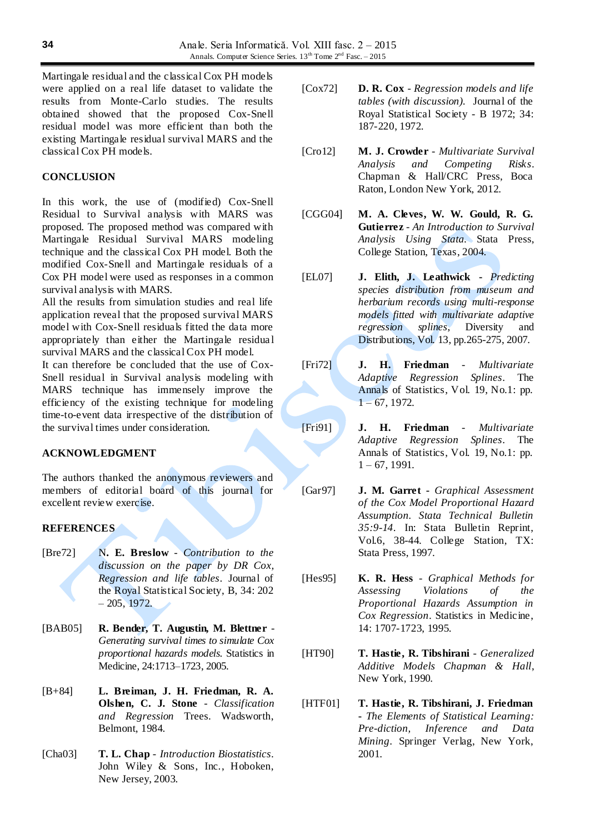Martingale residual and the classical Cox PH models were applied on a real life dataset to validate the results from Monte-Carlo studies. The results obtained showed that the proposed Cox-Snell residual model was more efficient than both the existing Martingale residual survival MARS and the classical Cox PH models.

# **CONCLUSION**

In this work, the use of (modified) Cox-Snell Residual to Survival analysis with MARS was proposed. The proposed method was compared with Martingale Residual Survival MARS modeling technique and the classical Cox PH model. Both the modified Cox-Snell and Martingale residuals of a Cox PH model were used as responses in a common survival analysis with MARS.

All the results from simulation studies and real life application reveal that the proposed survival MARS model with Cox-Snell residuals fitted the data more appropriately than either the Martingale residua l survival MARS and the classical Cox PH model.

It can therefore be concluded that the use of Cox-Snell residual in Survival analysis modeling with MARS technique has immensely improve the efficiency of the existing technique for modeling time-to-event data irrespective of the distribution of the survival times under consideration.

## **ACKNOWLEDGMENT**

The authors thanked the anonymous reviewers and members of editorial board of this journal for excellent review exercise.

## **REFERENCES**

- [Bre72] N**. E. Breslow** *Contribution to the discussion on the paper by DR Cox, Regression and life tables*. Journal of the Royal Statistical Society, B, 34: 202 – 205, 1972.
- [BAB05] **R. Bender, T. Augustin, M. Blettner** *Generating survival times to simulate Cox proportional hazards models*. Statistics in Medicine, 24:1713–1723, 2005.
- [B+84] **L. Breiman, J. H. Friedman, R. A. Olshen, C. J. Stone** - *Classification and Regression* Trees. Wadsworth, Belmont, 1984.
- [Cha03] **T. L. Chap**  *Introduction Biostatistics*. John Wiley & Sons, Inc., Hoboken, New Jersey, 2003.
- [Cox72] **D. R. Cox** *Regression models and life tables (with discussion).* Journal of the Royal Statistical Society - B 1972; 34: 187-220, 1972.
- [Cro12] **M. J. Crowder** *Multivariate Survival Analysis and Competing Risks*. Chapman & Hall/CRC Press, Boca Raton, London New York, 2012.
- [CGG04] **M. A. Cleves, W. W. Gould, R. G. Gutierrez** - *An Introduction to Survival Analysis Using Stata*. Stata Press, College Station, Texas, 2004.
- [EL07] **J. Elith, J. Leathwick -** *Predicting species distribution from museum and herbarium records using multi-response models fitted with multivariate adaptive regression splines*, Diversity and Distributions, Vol. 13, pp.265-275, 2007.
- [Fri72] **J. H. Friedman** *Multivariate Adaptive Regression Splines*. The Annals of Statistics, Vol. 19, No.1: pp.  $1 - 67$ , 1972.
- [Fri91] **J. H. Friedman**  *Multivariate Adaptive Regression Splines*. The Annals of Statistics, Vol. 19, No.1: pp.  $1 - 67$ , 1991.
- [Gar97] **J. M. Garret -** *Graphical Assessment of the Cox Model Proportional Hazard Assumption. Stata Technical Bulletin 35:9-14*. In: Stata Bulletin Reprint, Vol.6, 38-44. College Station, TX: Stata Press, 1997.
- [Hes95] **K. R. Hess**  *Graphical Methods for Assessing Violations of the Proportional Hazards Assumption in Cox Regression*. Statistics in Medicine, 14: 1707-1723, 1995.
- [HT90] **T. Hastie, R. Tibshirani** *Generalized Additive Models Chapman & Hall*, New York, 1990.
- [HTF01] **T. Hastie, R. Tibshirani, J. Friedman -** *The Elements of Statistical Learning: Pre-diction, Inference and Data Mining*. Springer Verlag, New York, 2001.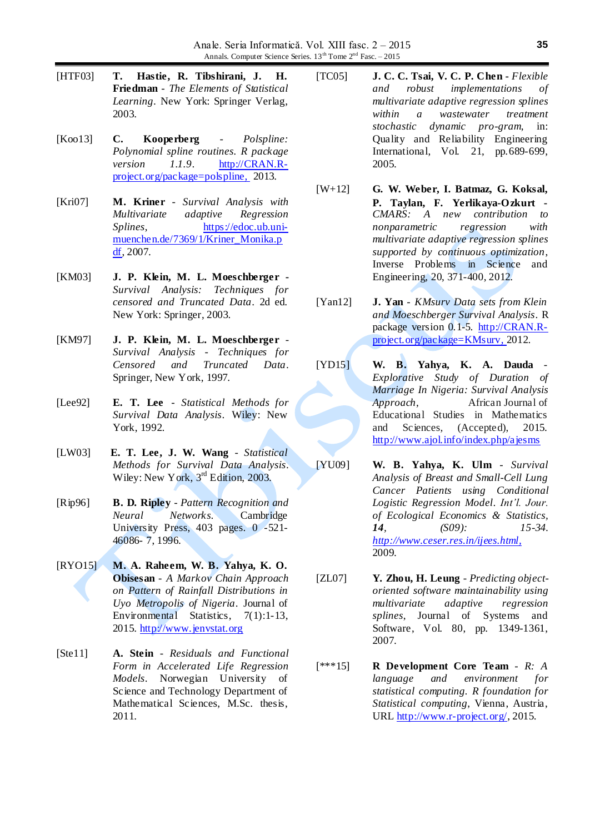- [HTF03] **T. Hastie, R. Tibshirani, J. H. Friedman** - *The Elements of Statistical Learning*. New York: Springer Verlag, 2003.
- [Koo13] **C. Kooperberg** *Polspline: Polynomial spline routines. R package version 1.1.9*. [http://CRAN.R](http://cran.r-project.org/package=polspline)[project.org/package=polspline,](http://cran.r-project.org/package=polspline) 2013.
- [Kri07] **M. Kriner** *Survival Analysis with Multivariate adaptive Regression Splines*, [https://edoc.ub.uni](https://edoc.ub.uni-muenchen.de/7369/1/Kriner_Monika.pdf)[muenchen.de/7369/1/Kriner\\_Monika.p](https://edoc.ub.uni-muenchen.de/7369/1/Kriner_Monika.pdf) [df,](https://edoc.ub.uni-muenchen.de/7369/1/Kriner_Monika.pdf) 2007.
- [KM03] **J. P. Klein, M. L. Moeschberger -** *Survival Analysis: Techniques for censored and Truncated Data*. 2d ed. New York: Springer, 2003.
- [KM97] **J. P. Klein, M. L. Moeschberger** *Survival Analysis - Techniques for Censored and Truncated Data*. Springer, New York, 1997.
- [Lee92] **E. T. Lee** *Statistical Methods for Survival Data Analysis*. Wiley: New York, 1992.
- [LW03] **E. T. Lee, J. W. Wang** *Statistical Methods for Survival Data Analysis*. Wiley: New York, 3<sup>rd</sup> Edition, 2003.
- [Rip96] **B. D. Ripley** *Pattern Recognition and Neural Networks.* Cambridge University Press, 403 pages. 0 -521- 46086- 7, 1996.
- [RYO15] **M. A. Raheem, W. B. Yahya, K. O. Obisesan** - *A Markov Chain Approach on Pattern of Rainfall Distributions in Uyo Metropolis of Nigeria*. Journal of Environmental Statistics, 7(1):1-13, 2015. [http://www.jenvstat.org](http://www.jenvstat.org/)
- [Ste11] **A. Stein** *Residuals and Functional Form in Accelerated Life Regression Models*. Norwegian University of Science and Technology Department of Mathematical Sciences, M.Sc. thesis, 2011.
- [TC05] **J. C. C. Tsai, V. C. P. Chen -** *Flexible and robust implementations of multivariate adaptive regression splines within a wastewater treatment stochastic dynamic pro-gram*, in: Quality and Reliability Engineering International, Vol. 21, pp.689-699, 2005.
- [W+12] **G. W. Weber, I. Batmaz, G. Koksal, P. Taylan, F. Yerlikaya-Ozkurt -** *CMARS: A new contribution to nonparametric regression with multivariate adaptive regression splines supported by continuous optimization*, Inverse Problems in Science and Engineering, 20, 371-400, 2012.
- [Yan12] **J. Yan** *KMsurv Data sets from Klein and Moeschberger Survival Analysis*. R package version 0.1-5. [http://CRAN.R](http://cran.r-project.org/package=KMsurv)[project.org/package=KMsurv,](http://cran.r-project.org/package=KMsurv) 2012.
- [YD15] **W. B. Yahya, K. A. Dauda**  *Explorative Study of Duration of Marriage In Nigeria: Survival Analysis Approach*, African Journal of Educational Studies in Mathematics and Sciences*,* (Accepted), 2015. <http://www.ajol.info/index.php/ajesms>
- [YU09] **W. B. Yahya, K. Ulm** *Survival Analysis of Breast and Small-Cell Lung Cancer Patients using Conditional Logistic Regression Model*. *Int'l. Jour. of Ecological Economics & Statistics, 14, (S09): 15-34. [http://www.ceser.res.in/ijees.html,](http://www.ceser.res.in/ijees.html)* 2009.
- [ZL07] **Y. Zhou, H. Leung** *Predicting objectoriented software maintainability using multivariate adaptive regression splines*, Journal of Systems and Software, Vol. 80, pp. 1349-1361, 2007.
- [\*\*\*15] **R Development Core Team** *R: A language and environment for statistical computing. R foundation for Statistical computing*, Vienna, Austria, URL [http://www.r-project.org/,](http://www.r-project.org/) 2015.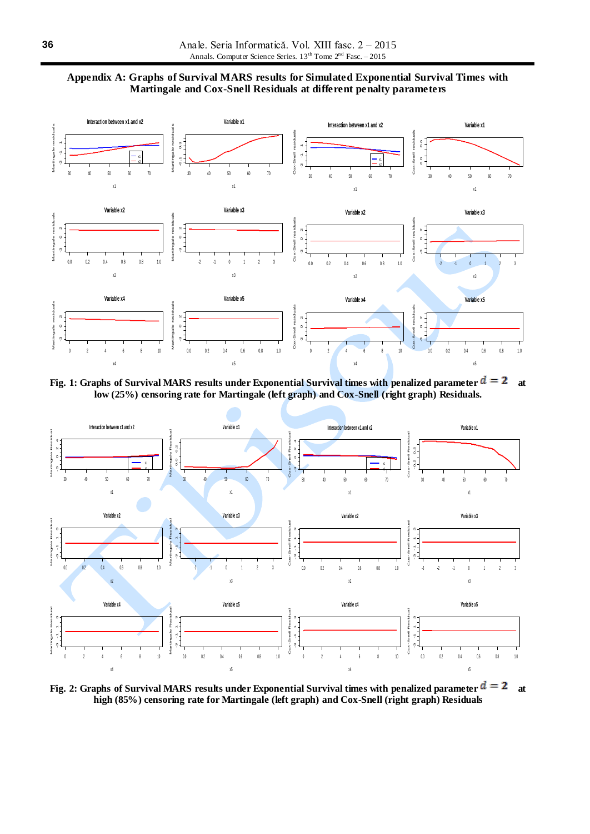



**Fig. 1: Graphs of Survival MARS results under Exponential Survival times with penalized parameter**  $d = 2$  **at low (25%) censoring rate for Martingale (left graph) and Cox-Snell (right graph) Residuals.**



**Fig. 2: Graphs of Survival MARS results under Exponential Survival times with penalized parameter**  $d = 2$  **at high (85%) censoring rate for Martingale (left graph) and Cox-Snell (right graph) Residuals**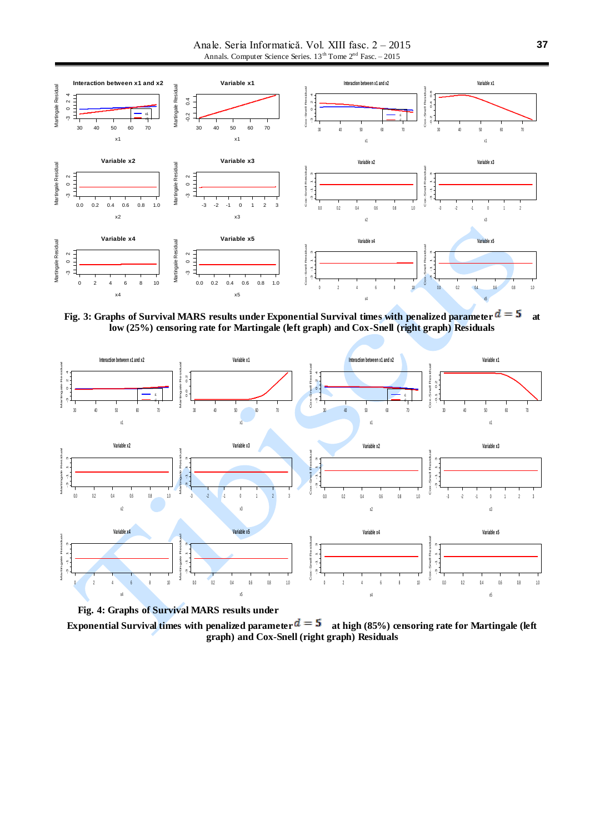Anale. Seria Informatică. Vol. XIII fasc. 2 – 2015 Annals. Computer Science Series.  $13<sup>th</sup>$  Tome  $2<sup>nd</sup>$  Fasc. – 2015



**Fig. 3: Graphs of Survival MARS results under Exponential Survival times with penalized parameter**  $d = 5$  **at low (25%) censoring rate for Martingale (left graph) and Cox-Snell (right graph) Residuals**



**Fig. 4: Graphs of Survival MARS results under** 

**Exponential Survival times with penalized parameter**  $d = 5$  at high (85%) censoring rate for Martingale (left **graph) and Cox-Snell (right graph) Residuals**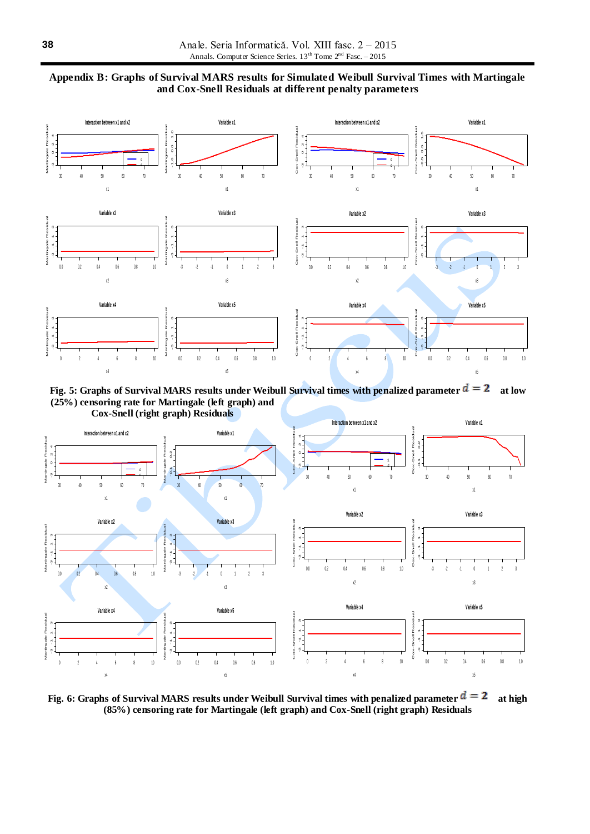



**Fig. 5: Graphs of Survival MARS results under Weibull Survival times with penalized parameter**  $d = 2$  **at low (25%) censoring rate for Martingale (left graph) and** 



**Fig. 6: Graphs of Survival MARS results under Weibull Survival times with penalized parameter**  $d = 2$  **at high (85%) censoring rate for Martingale (left graph) and Cox-Snell (right graph) Residuals**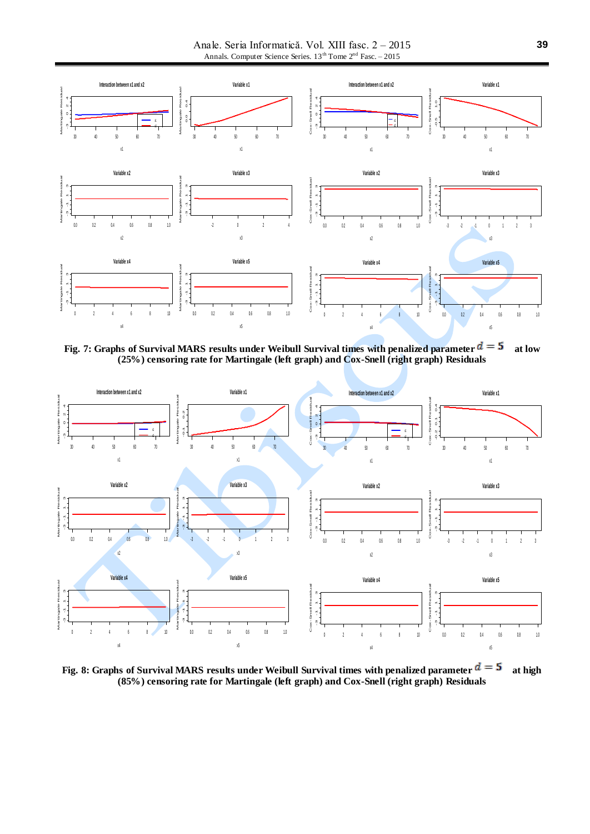Anale. Seria Informatică. Vol. XIII fasc. 2 – 2015 Annals. Computer Science Series.  $13^{th}$  Tome  $2^{nd}$  Fasc. – 2015



**Fig. 7: Graphs of Survival MARS results under Weibull Survival times with penalized parameter**  $d = 5$  **at low (25%) censoring rate for Martingale (left graph) and Cox-Snell (right graph) Residuals**



**Fig. 8: Graphs of Survival MARS results under Weibull Survival times with penalized parameter**  $d = 5$  **at high (85%) censoring rate for Martingale (left graph) and Cox-Snell (right graph) Residuals**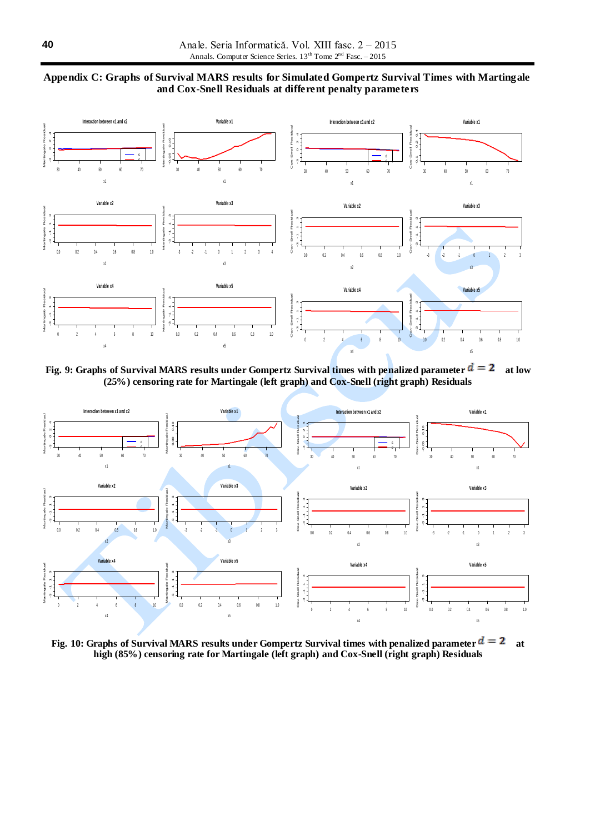



**Fig. 9: Graphs of Survival MARS results under Gompertz Survival times with penalized parameter**  $d = 2$  **at low (25%) censoring rate for Martingale (left graph) and Cox-Snell (right graph) Residuals**



**Fig. 10: Graphs of Survival MARS results under Gompertz Survival times with penalized parameter**  $d = 2$  at **high (85%) censoring rate for Martingale (left graph) and Cox-Snell (right graph) Residuals**